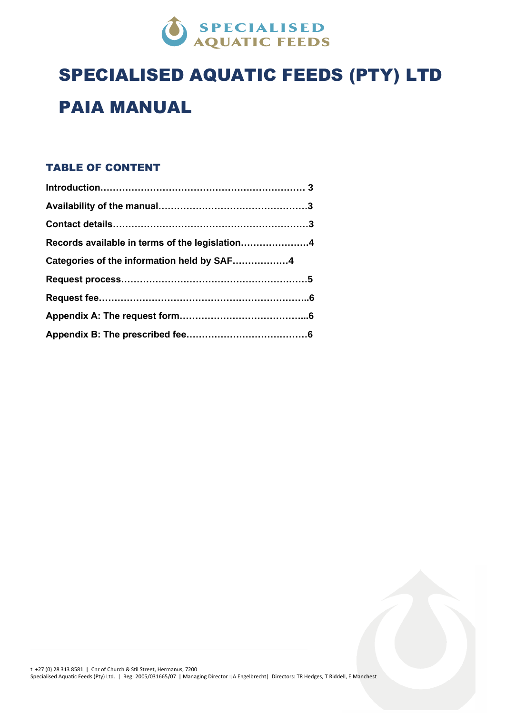

# SPECIALISED AQUATIC FEEDS (PTY) LTD PAIA MANUAL

# TABLE OF CONTENT

| Records available in terms of the legislation4 |  |
|------------------------------------------------|--|
| Categories of the information held by SAF4     |  |
|                                                |  |
|                                                |  |
|                                                |  |
|                                                |  |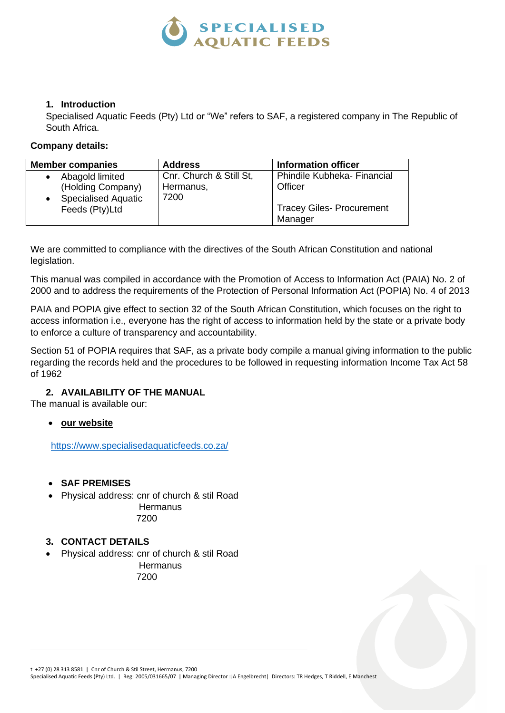

# **1. Introduction**

Specialised Aquatic Feeds (Pty) Ltd or "We" refers to SAF, a registered company in The Republic of South Africa.

# **Company details:**

| <b>Member companies</b>                                            | <b>Address</b>                               | <b>Information officer</b>                  |
|--------------------------------------------------------------------|----------------------------------------------|---------------------------------------------|
| Abagold limited<br>(Holding Company)<br><b>Specialised Aquatic</b> | Cnr. Church & Still St,<br>Hermanus,<br>7200 | Phindile Kubheka- Financial<br>Officer      |
| Feeds (Pty)Ltd                                                     |                                              | <b>Tracey Giles- Procurement</b><br>Manager |

We are committed to compliance with the directives of the South African Constitution and national legislation.

This manual was compiled in accordance with the Promotion of Access to Information Act (PAIA) No. 2 of 2000 and to address the requirements of the Protection of Personal Information Act (POPIA) No. 4 of 2013

PAIA and POPIA give effect to section 32 of the South African Constitution, which focuses on the right to access information i.e., everyone has the right of access to information held by the state or a private body to enforce a culture of transparency and accountability.

Section 51 of POPIA requires that SAF, as a private body compile a manual giving information to the public regarding the records held and the procedures to be followed in requesting information Income Tax Act 58 of 1962

# **2. AVAILABILITY OF THE MANUAL**

The manual is available our:

• **our website**

<https://www.specialisedaquaticfeeds.co.za/>

- **SAF PREMISES**
- Physical address: cnr of church & stil Road **Hermanus**

7200

# **3. CONTACT DETAILS**

• Physical address: cnr of church & stil Road

**Hermanus** 7200

Specialised Aquatic Feeds (Pty) Ltd. | Reg: 2005/031665/07 | Managing Director :JA Engelbrecht| Directors: TR Hedges, T Riddell, E Manchest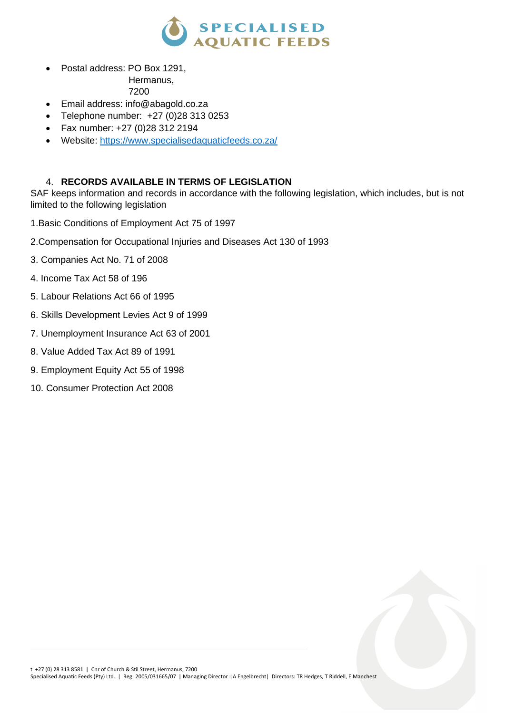

• Postal address: PO Box 1291,

Hermanus,

7200

- Email address: info@abagold.co.za
- Telephone number: +27 (0)28 313 0253
- Fax number: +27 (0)28 312 2194
- Website:<https://www.specialisedaquaticfeeds.co.za/>

# 4. **RECORDS AVAILABLE IN TERMS OF LEGISLATION**

SAF keeps information and records in accordance with the following legislation, which includes, but is not limited to the following legislation

1.Basic Conditions of Employment Act 75 of 1997

- 2.Compensation for Occupational Injuries and Diseases Act 130 of 1993
- 3. Companies Act No. 71 of 2008
- 4. Income Tax Act 58 of 196
- 5. Labour Relations Act 66 of 1995
- 6. Skills Development Levies Act 9 of 1999
- 7. Unemployment Insurance Act 63 of 2001
- 8. Value Added Tax Act 89 of 1991
- 9. Employment Equity Act 55 of 1998
- 10. Consumer Protection Act 2008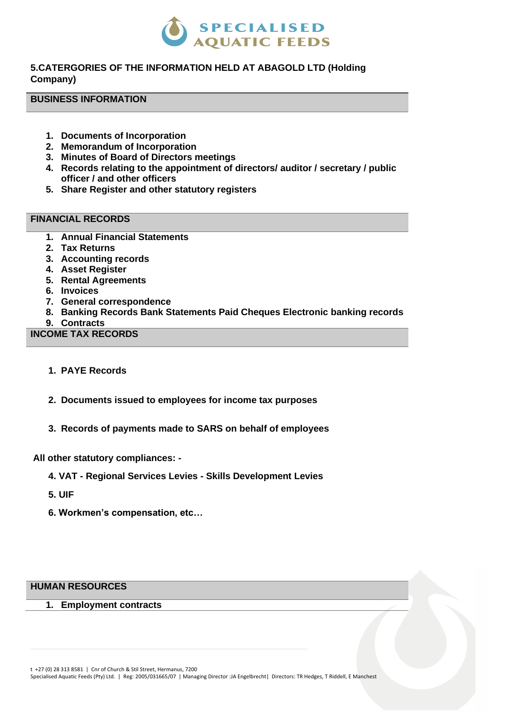

# **5.CATERGORIES OF THE INFORMATION HELD AT ABAGOLD LTD (Holding Company)**

#### **BUSINESS INFORMATION**

- **1. Documents of Incorporation**
- **2. Memorandum of Incorporation**
- **3. Minutes of Board of Directors meetings**
- **4. Records relating to the appointment of directors/ auditor / secretary / public officer / and other officers**
- **5. Share Register and other statutory registers**

# **FINANCIAL RECORDS**

- **1. Annual Financial Statements**
- **2. Tax Returns**
- **3. Accounting records**
- **4. Asset Register**
- **5. Rental Agreements**
- **6. Invoices**
- **7. General correspondence**
- **8. Banking Records Bank Statements Paid Cheques Electronic banking records**
- **9. Contracts**

## **INCOME TAX RECORDS**

- **1. PAYE Records**
- **2. Documents issued to employees for income tax purposes**
- **3. Records of payments made to SARS on behalf of employees**

#### **All other statutory compliances: -**

- **4. VAT - Regional Services Levies - Skills Development Levies**
- **5. UIF**
- **6. Workmen's compensation, etc…**

#### **HUMAN RESOURCES**

**1. Employment contracts** 

Specialised Aquatic Feeds (Pty) Ltd. | Reg: 2005/031665/07 | Managing Director :JA Engelbrecht| Directors: TR Hedges, T Riddell, E Manchest

t +27 (0) 28 313 8581 | Cnr of Church & Stil Street, Hermanus, 7200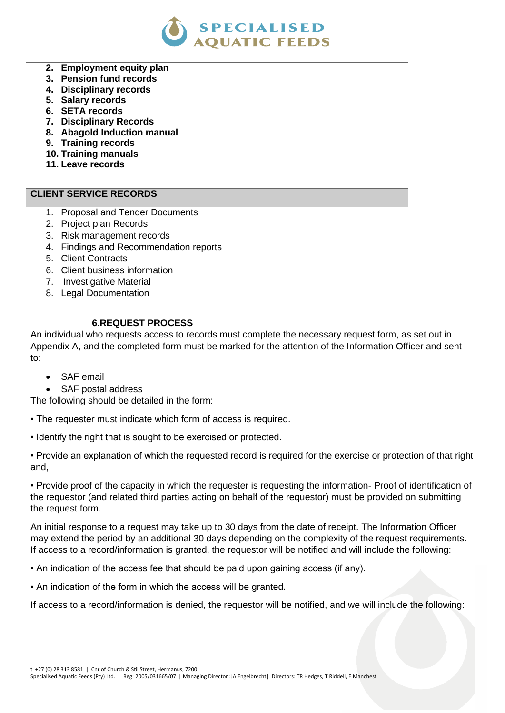

- **2. Employment equity plan**
- **3. Pension fund records**
- **4. Disciplinary records**
- **5. Salary records**
- **6. SETA records**
- **7. Disciplinary Records**
- **8. Abagold Induction manual**
- **9. Training records**
- **10. Training manuals**
- **11. Leave records**

## **CLIENT SERVICE RECORDS**

- 1. Proposal and Tender Documents
- 2. Project plan Records
- 3. Risk management records
- 4. Findings and Recommendation reports
- 5. Client Contracts
- 6. Client business information
- 7. Investigative Material
- 8. Legal Documentation

## **6.REQUEST PROCESS**

An individual who requests access to records must complete the necessary request form, as set out in Appendix A, and the completed form must be marked for the attention of the Information Officer and sent to:

- SAF email
- SAF postal address

The following should be detailed in the form:

- The requester must indicate which form of access is required.
- Identify the right that is sought to be exercised or protected.

• Provide an explanation of which the requested record is required for the exercise or protection of that right and,

• Provide proof of the capacity in which the requester is requesting the information- Proof of identification of the requestor (and related third parties acting on behalf of the requestor) must be provided on submitting the request form.

An initial response to a request may take up to 30 days from the date of receipt. The Information Officer may extend the period by an additional 30 days depending on the complexity of the request requirements. If access to a record/information is granted, the requestor will be notified and will include the following:

• An indication of the access fee that should be paid upon gaining access (if any).

• An indication of the form in which the access will be granted.

If access to a record/information is denied, the requestor will be notified, and we will include the following:

t +27 (0) 28 313 8581 | Cnr of Church & Stil Street, Hermanus, 7200

Specialised Aquatic Feeds (Pty) Ltd. | Reg: 2005/031665/07 | Managing Director :JA Engelbrecht| Directors: TR Hedges, T Riddell, E Manchest